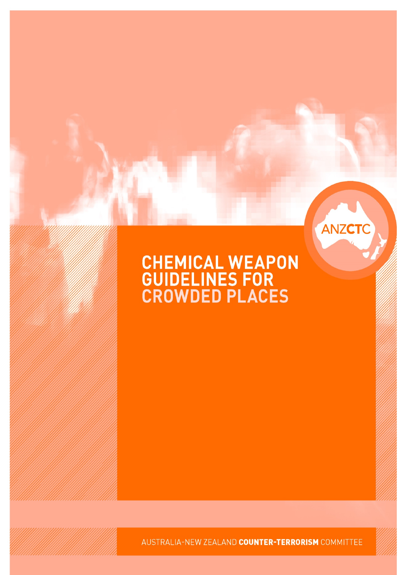# **CHEMICAL WEAPON<br>GUIDELINES FOR<br>CROWDED PLACES**

ANZCTC

AUSTRALIA-NEW ZEALAND COUNTER-TERRORISM COMMITTEE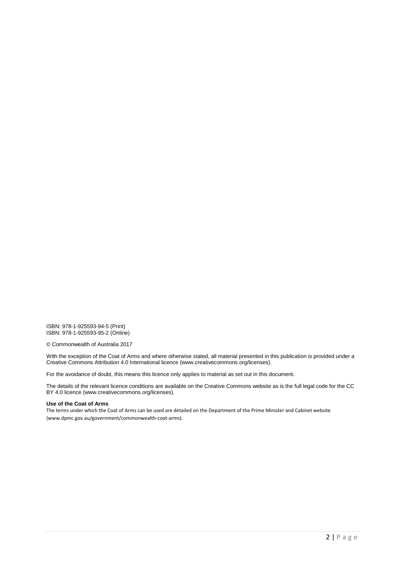ISBN: 978-1-925593-94-5 (Print) ISBN: 978-1-925593-95-2 (Online)

© Commonwealth of Australia 2017

With the exception of the Coat of Arms and where otherwise stated, all material presented in this publication is provided under a Creative Commons Attribution 4.0 International licence (www.creativecommons.org/licenses).

For the avoidance of doubt, this means this licence only applies to material as set out in this document.

The details of the relevant licence conditions are available on the Creative Commons website as is the full legal code for the CC BY 4.0 licence (www.creativecommons.org/licenses).

#### **Use of the Coat of Arms**

The terms under which the Coat of Arms can be used are detailed on the Department of the Prime Minister and Cabinet website (www.dpmc.gov.au/government/commonwealth-coat-arms).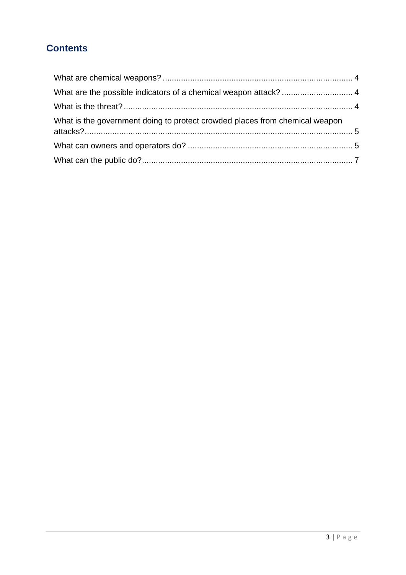## **Contents**

| What is the government doing to protect crowded places from chemical weapon |  |
|-----------------------------------------------------------------------------|--|
|                                                                             |  |
|                                                                             |  |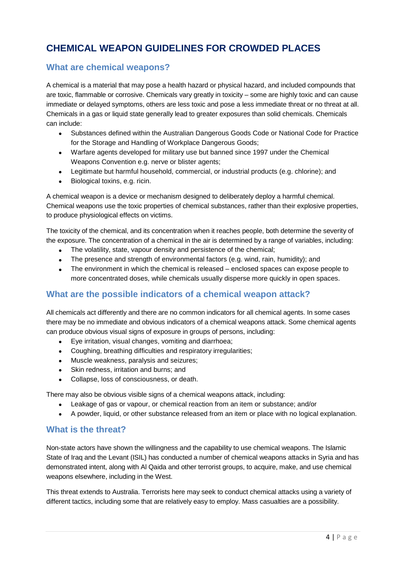# **CHEMICAL WEAPON GUIDELINES FOR CROWDED PLACES**

#### <span id="page-3-0"></span>**What are chemical weapons?**

A chemical is a material that may pose a health hazard or physical hazard, and included compounds that are toxic, flammable or corrosive. Chemicals vary greatly in toxicity – some are highly toxic and can cause immediate or delayed symptoms, others are less toxic and pose a less immediate threat or no threat at all. Chemicals in a gas or liquid state generally lead to greater exposures than solid chemicals. Chemicals can include:

- Substances defined within the Australian Dangerous Goods Code or National Code for Practice for the Storage and Handling of Workplace Dangerous Goods;
- Warfare agents developed for military use but banned since 1997 under the Chemical Weapons Convention e.g. nerve or blister agents:
- Legitimate but harmful household, commercial, or industrial products (e.g. chlorine); and
- Biological toxins, e.g. ricin.

A chemical weapon is a device or mechanism designed to deliberately deploy a harmful chemical. Chemical weapons use the toxic properties of chemical substances, rather than their explosive properties, to produce physiological effects on victims.

The toxicity of the chemical, and its concentration when it reaches people, both determine the severity of the exposure. The concentration of a chemical in the air is determined by a range of variables, including:

- The volatility, state, vapour density and persistence of the chemical;
- The presence and strength of environmental factors (e.g. wind, rain, humidity); and
- The environment in which the chemical is released enclosed spaces can expose people to more concentrated doses, while chemicals usually disperse more quickly in open spaces.

#### <span id="page-3-1"></span>**What are the possible indicators of a chemical weapon attack?**

All chemicals act differently and there are no common indicators for all chemical agents. In some cases there may be no immediate and obvious indicators of a chemical weapons attack. Some chemical agents can produce obvious visual signs of exposure in groups of persons, including:

- Eye irritation, visual changes, vomiting and diarrhoea;
- Coughing, breathing difficulties and respiratory irregularities;
- Muscle weakness, paralysis and seizures;
- Skin redness, irritation and burns; and
- Collapse, loss of consciousness, or death.

There may also be obvious visible signs of a chemical weapons attack, including:

- Leakage of gas or vapour, or chemical reaction from an item or substance; and/or
- A powder, liquid, or other substance released from an item or place with no logical explanation.

#### <span id="page-3-2"></span>**What is the threat?**

Non-state actors have shown the willingness and the capability to use chemical weapons. The Islamic State of Iraq and the Levant (ISIL) has conducted a number of chemical weapons attacks in Syria and has demonstrated intent, along with Al Qaida and other terrorist groups, to acquire, make, and use chemical weapons elsewhere, including in the West.

This threat extends to Australia. Terrorists here may seek to conduct chemical attacks using a variety of different tactics, including some that are relatively easy to employ. Mass casualties are a possibility.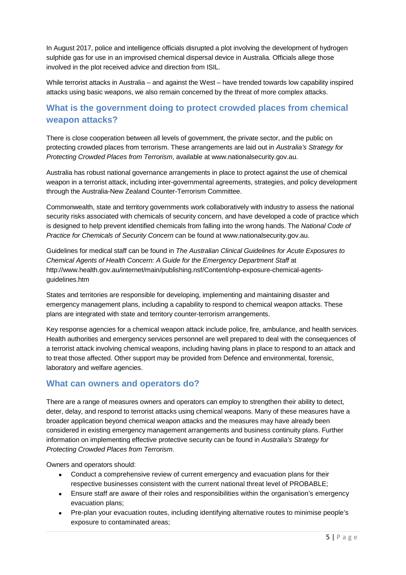In August 2017, police and intelligence officials disrupted a plot involving the development of hydrogen sulphide gas for use in an improvised chemical dispersal device in Australia. Officials allege those involved in the plot received advice and direction from ISIL.

While terrorist attacks in Australia – and against the West – have trended towards low capability inspired attacks using basic weapons, we also remain concerned by the threat of more complex attacks.

#### <span id="page-4-0"></span>**What is the government doing to protect crowded places from chemical weapon attacks?**

There is close cooperation between all levels of government, the private sector, and the public on protecting crowded places from terrorism. These arrangements are laid out in *Australia's Strategy for Protecting Crowded Places from Terrorism*, available at www.nationalsecurity.gov.au.

Australia has robust national governance arrangements in place to protect against the use of chemical weapon in a terrorist attack, including inter-governmental agreements, strategies, and policy development through the Australia-New Zealand Counter-Terrorism Committee.

Commonwealth, state and territory governments work collaboratively with industry to assess the national security risks associated with chemicals of security concern, and have developed a code of practice which is designed to help prevent identified chemicals from falling into the wrong hands. The *National Code of Practice for Chemicals of Security Concern* can be found at www.nationalsecurity.gov.au.

Guidelines for medical staff can be found in *The Australian Clinical Guidelines for Acute Exposures to Chemical Agents of Health Concern: A Guide for the Emergency Department Staff* at http://www.health.gov.au/internet/main/publishing.nsf/Content/ohp-exposure-chemical-agentsguidelines.htm

States and territories are responsible for developing, implementing and maintaining disaster and emergency management plans, including a capability to respond to chemical weapon attacks. These plans are integrated with state and territory counter-terrorism arrangements.

Key response agencies for a chemical weapon attack include police, fire, ambulance, and health services. Health authorities and emergency services personnel are well prepared to deal with the consequences of a terrorist attack involving chemical weapons, including having plans in place to respond to an attack and to treat those affected. Other support may be provided from Defence and environmental, forensic, laboratory and welfare agencies.

#### <span id="page-4-1"></span>**What can owners and operators do?**

There are a range of measures owners and operators can employ to strengthen their ability to detect, deter, delay, and respond to terrorist attacks using chemical weapons. Many of these measures have a broader application beyond chemical weapon attacks and the measures may have already been considered in existing emergency management arrangements and business continuity plans. Further information on implementing effective protective security can be found in *Australia's Strategy for Protecting Crowded Places from Terrorism*.

Owners and operators should:

- Conduct a comprehensive review of current emergency and evacuation plans for their respective businesses consistent with the current national threat level of PROBABLE;
- Ensure staff are aware of their roles and responsibilities within the organisation's emergency evacuation plans;
- Pre-plan your evacuation routes, including identifying alternative routes to minimise people's exposure to contaminated areas;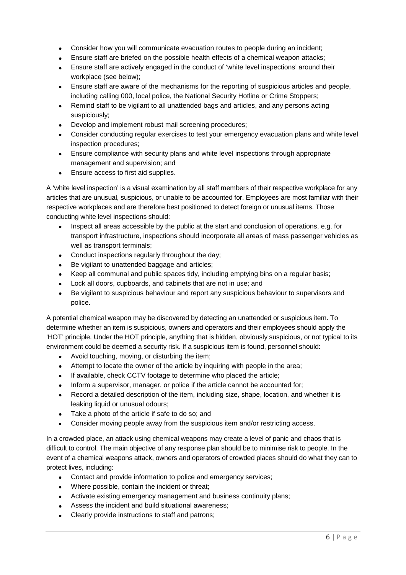- Consider how you will communicate evacuation routes to people during an incident;
- Ensure staff are briefed on the possible health effects of a chemical weapon attacks;
- Ensure staff are actively engaged in the conduct of 'white level inspections' around their workplace (see below);
- Ensure staff are aware of the mechanisms for the reporting of suspicious articles and people, including calling 000, local police, the National Security Hotline or Crime Stoppers;
- Remind staff to be vigilant to all unattended bags and articles, and any persons acting suspiciously;
- Develop and implement robust mail screening procedures;
- Consider conducting regular exercises to test your emergency evacuation plans and white level inspection procedures;
- Ensure compliance with security plans and white level inspections through appropriate management and supervision; and
- Ensure access to first aid supplies.

A 'white level inspection' is a visual examination by all staff members of their respective workplace for any articles that are unusual, suspicious, or unable to be accounted for. Employees are most familiar with their respective workplaces and are therefore best positioned to detect foreign or unusual items. Those conducting white level inspections should:

- Inspect all areas accessible by the public at the start and conclusion of operations, e.g. for transport infrastructure, inspections should incorporate all areas of mass passenger vehicles as well as transport terminals;
- Conduct inspections regularly throughout the day;
- Be vigilant to unattended baggage and articles;
- Keep all communal and public spaces tidy, including emptying bins on a regular basis;
- Lock all doors, cupboards, and cabinets that are not in use; and
- Be vigilant to suspicious behaviour and report any suspicious behaviour to supervisors and police.

A potential chemical weapon may be discovered by detecting an unattended or suspicious item. To determine whether an item is suspicious, owners and operators and their employees should apply the 'HOT' principle. Under the HOT principle, anything that is hidden, obviously suspicious, or not typical to its environment could be deemed a security risk. If a suspicious item is found, personnel should:

- Avoid touching, moving, or disturbing the item;
- Attempt to locate the owner of the article by inquiring with people in the area;
- If available, check CCTV footage to determine who placed the article;
- Inform a supervisor, manager, or police if the article cannot be accounted for;
- Record a detailed description of the item, including size, shape, location, and whether it is leaking liquid or unusual odours;
- Take a photo of the article if safe to do so; and
- Consider moving people away from the suspicious item and/or restricting access.

In a crowded place, an attack using chemical weapons may create a level of panic and chaos that is difficult to control. The main objective of any response plan should be to minimise risk to people. In the event of a chemical weapons attack, owners and operators of crowded places should do what they can to protect lives, including:

- Contact and provide information to police and emergency services;
- Where possible, contain the incident or threat;
- Activate existing emergency management and business continuity plans;
- Assess the incident and build situational awareness;
- Clearly provide instructions to staff and patrons;